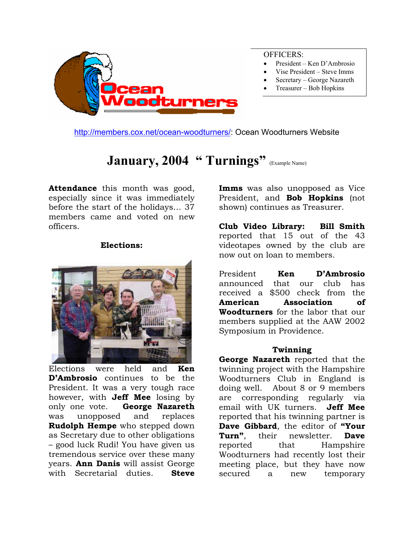

<http://members.cox.net/ocean-woodturners/>: Ocean Woodturners Website

## January, 2004 " Turnings" **(Example Name)**

**Attendance** this month was good, especially since it was immediately before the start of the holidays… 37 members came and voted on new officers.

#### **Elections:**



Elections were held and **Ken D'Ambrosio** continues to be the President. It was a very tough race however, with **Jeff Mee** losing by only one vote. **George Nazareth** was unopposed and replaces **Rudolph Hempe** who stepped down as Secretary due to other obligations – good luck Rudi! You have given us tremendous service over these many years. **Ann Danis** will assist George with Secretarial duties. **Steve** 

**Imms** was also unopposed as Vice President, and **Bob Hopkins** (not shown) continues as Treasurer.

**Club Video Library: Bill Smith** reported that 15 out of the 43 videotapes owned by the club are now out on loan to members.

President **Ken D'Ambrosio**  announced that our club has received a \$500 check from the **American Association of Woodturners** for the labor that our members supplied at the AAW 2002 Symposium in Providence.

#### **Twinning**

**George Nazareth** reported that the twinning project with the Hampshire Woodturners Club in England is doing well. About 8 or 9 members are corresponding regularly via email with UK turners. **Jeff Mee** reported that his twinning partner is **Dave Gibbard**, the editor of **"Your Turn"**, their newsletter. **Dave** reported that Hampshire Woodturners had recently lost their meeting place, but they have now secured a new temporary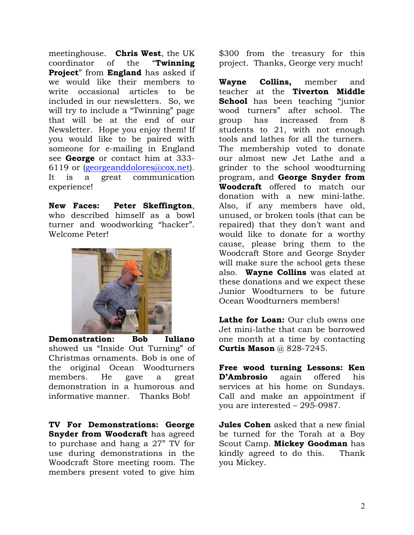meetinghouse. **Chris West**, the UK coordinator of the "**Twinning Project**" from **England** has asked if we would like their members to write occasional articles to be included in our newsletters. So, we will try to include a "Twinning" page that will be at the end of our Newsletter. Hope you enjoy them! If you would like to be paired with someone for e-mailing in England see **George** or contact him at 333- 6119 or [\(georgeanddolores@cox.net\)](mailto:georgeanddolores@cox.net). It is a great communication experience!

**New Faces: Peter Skeffington**, who described himself as a bowl turner and woodworking "hacker". Welcome Peter!



**Demonstration: Bob Iuliano** showed us "Inside Out Turning" of Christmas ornaments. Bob is one of the original Ocean Woodturners members. He gave a great demonstration in a humorous and informative manner. Thanks Bob!

**TV For Demonstrations: George Snyder from Woodcraft** has agreed to purchase and hang a 27" TV for use during demonstrations in the Woodcraft Store meeting room. The members present voted to give him

\$300 from the treasury for this project. Thanks, George very much!

**Wayne Collins,** member and teacher at the **Tiverton Middle School** has been teaching "junior wood turners" after school. The group has increased from 8 students to 21, with not enough tools and lathes for all the turners. The membership voted to donate our almost new Jet Lathe and a grinder to the school woodturning program, and **George Snyder from Woodcraft** offered to match our donation with a new mini-lathe. Also, if any members have old, unused, or broken tools (that can be repaired) that they don't want and would like to donate for a worthy cause, please bring them to the Woodcraft Store and George Snyder will make sure the school gets these also. **Wayne Collins** was elated at these donations and we expect these Junior Woodturners to be future Ocean Woodturners members!

Lathe for Loan: Our club owns one Jet mini-lathe that can be borrowed one month at a time by contacting **Curtis Mason** @ 828-7245.

**Free wood turning Lessons: Ken D'Ambrosio** again offered his services at his home on Sundays. Call and make an appointment if you are interested – 295-0987.

**Jules Cohen** asked that a new finial be turned for the Torah at a Boy Scout Camp. **Mickey Goodman** has kindly agreed to do this. Thank you Mickey.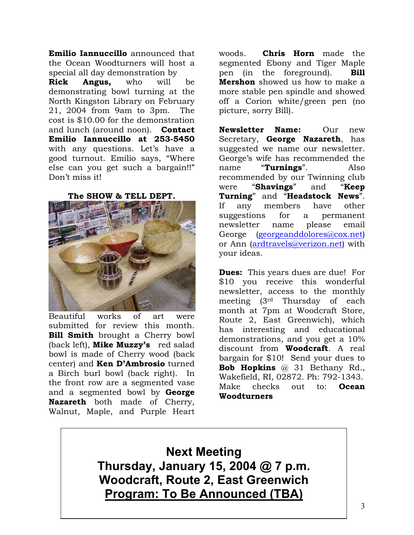**Emilio Iannuccillo** announced that the Ocean Woodturners will host a special all day demonstration by

**Rick Angus,** who will be demonstrating bowl turning at the North Kingston Library on February 21, 2004 from 9am to 3pm. The cost is \$10.00 for the demonstration and lunch (around noon). **Contact Emilio Iannuccillo at 253-5450** with any questions. Let's have a good turnout. Emilio says, "Where else can you get such a bargain!!" Don't miss it!

**The SHOW & TELL DEPT.**



Beautiful works of art were submitted for review this month. **Bill Smith** brought a Cherry bowl (back left), **Mike Muzzy's** red salad bowl is made of Cherry wood (back center) and **Ken D'Ambrosio** turned a Birch burl bowl (back right). In the front row are a segmented vase and a segmented bowl by **George Nazareth** both made of Cherry, Walnut, Maple, and Purple Heart

woods. **Chris Horn** made the segmented Ebony and Tiger Maple pen (in the foreground). **Bill Mershon** showed us how to make a more stable pen spindle and showed off a Corion white/green pen (no picture, sorry Bill).

**Newsletter Name:** Our new Secretary, **George Nazareth**, has suggested we name our newsletter. George's wife has recommended the name "**Turnings**". Also recommended by our Twinning club were "**Shavings**" and "**Keep Turning**" and "**Headstock News**". If any members have other suggestions for a permanent newsletter name please email George [\(georgeanddolores@cox.net](mailto:georgeanddolores@cox.net)) or Ann [\(ardtravels@verizon.net](mailto:ardtravels@verizon.net)) with your ideas.

**Dues:** This years dues are due! For \$10 you receive this wonderful newsletter, access to the monthly meeting (3rd Thursday of each month at 7pm at Woodcraft Store, Route 2, East Greenwich), which has interesting and educational demonstrations, and you get a 10% discount from **Woodcraft**. A real bargain for \$10! Send your dues to **Bob Hopkins** @ 31 Bethany Rd., Wakefield, RI, 02872. Ph: 792-1343. Make checks out to: **Ocean Woodturners** 

**Next Meeting Thursday, January 15, 2004 @ 7 p.m. Woodcraft, Route 2, East Greenwich Program: To Be Announced (TBA)**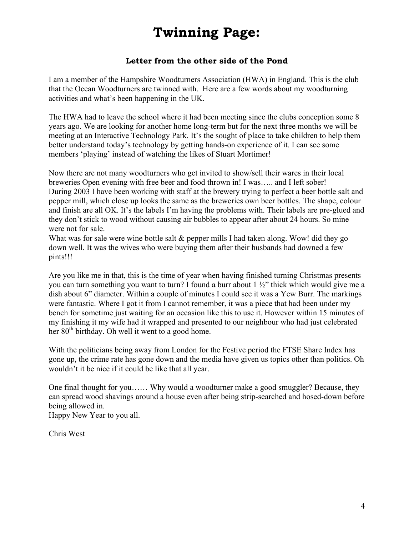# **Twinning Page:**

### **Letter from the other side of the Pond**

I am a member of the Hampshire Woodturners Association (HWA) in England. This is the club that the Ocean Woodturners are twinned with. Here are a few words about my woodturning activities and what's been happening in the UK.

The HWA had to leave the school where it had been meeting since the clubs conception some 8 years ago. We are looking for another home long-term but for the next three months we will be meeting at an Interactive Technology Park. It's the sought of place to take children to help them better understand today's technology by getting hands-on experience of it. I can see some members 'playing' instead of watching the likes of Stuart Mortimer!

Now there are not many woodturners who get invited to show/sell their wares in their local breweries Open evening with free beer and food thrown in! I was….. and I left sober! During 2003 I have been working with staff at the brewery trying to perfect a beer bottle salt and pepper mill, which close up looks the same as the breweries own beer bottles. The shape, colour and finish are all OK. It's the labels I'm having the problems with. Their labels are pre-glued and they don't stick to wood without causing air bubbles to appear after about 24 hours. So mine were not for sale.

What was for sale were wine bottle salt & pepper mills I had taken along. Wow! did they go down well. It was the wives who were buying them after their husbands had downed a few pints!!!

Are you like me in that, this is the time of year when having finished turning Christmas presents you can turn something you want to turn? I found a burr about 1 ½" thick which would give me a dish about 6" diameter. Within a couple of minutes I could see it was a Yew Burr. The markings were fantastic. Where I got it from I cannot remember, it was a piece that had been under my bench for sometime just waiting for an occasion like this to use it. However within 15 minutes of my finishing it my wife had it wrapped and presented to our neighbour who had just celebrated her  $80<sup>th</sup>$  birthday. Oh well it went to a good home.

With the politicians being away from London for the Festive period the FTSE Share Index has gone up, the crime rate has gone down and the media have given us topics other than politics. Oh wouldn't it be nice if it could be like that all year.

One final thought for you…… Why would a woodturner make a good smuggler? Because, they can spread wood shavings around a house even after being strip-searched and hosed-down before being allowed in.

Happy New Year to you all.

Chris West